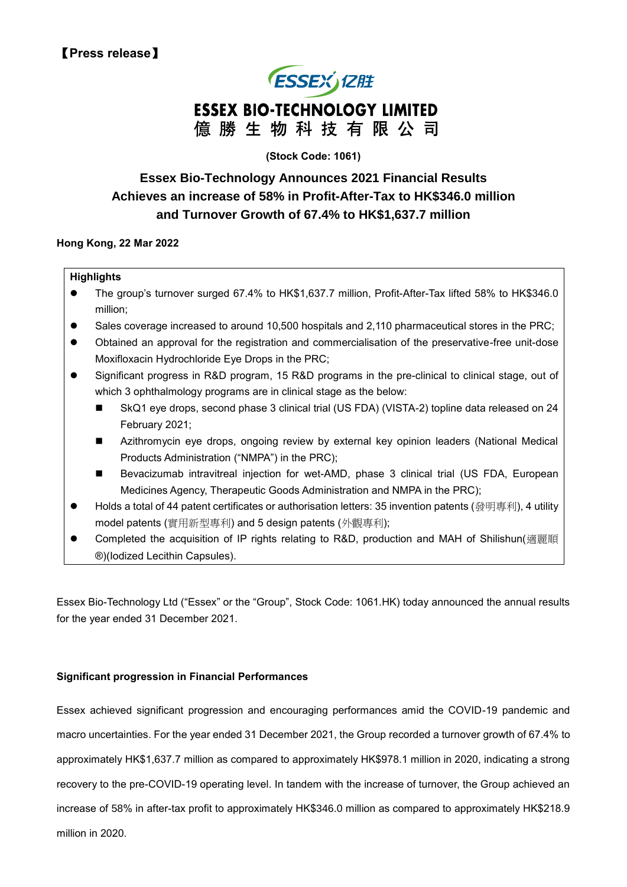# **ESSEX JZIE ESSEX BIO-TECHNOLOGY LIMITED** 億勝生物科技有限公司

## **(Stock Code: 1061)**

# **Essex Bio-Technology Announces 2021 Financial Results Achieves an increase of 58% in Profit-After-Tax to HK\$346.0 million and Turnover Growth of 67.4% to HK\$1,637.7 million**

### **Hong Kong, 22 Mar 2022**

### **Highlights**

- ⚫ The group's turnover surged 67.4% to HK\$1,637.7 million, Profit-After-Tax lifted 58% to HK\$346.0 million;
- Sales coverage increased to around 10,500 hospitals and 2,110 pharmaceutical stores in the PRC;
- ⚫ Obtained an approval for the registration and commercialisation of the preservative-free unit-dose Moxifloxacin Hydrochloride Eye Drops in the PRC;
- Significant progress in R&D program, 15 R&D programs in the pre-clinical to clinical stage, out of which 3 ophthalmology programs are in clinical stage as the below:
	- SkQ1 eye drops, second phase 3 clinical trial (US FDA) (VISTA-2) topline data released on 24 February 2021;
	- Azithromycin eye drops, ongoing review by external key opinion leaders (National Medical Products Administration ("NMPA") in the PRC);
	- Bevacizumab intravitreal injection for wet-AMD, phase 3 clinical trial (US FDA, European Medicines Agency, Therapeutic Goods Administration and NMPA in the PRC);
- Holds a total of 44 patent certificates or authorisation letters: 35 invention patents (發明專利), 4 utility model patents (實用新型專利) and 5 design patents (外觀專利);
- Completed the acquisition of IP rights relating to R&D, production and MAH of Shilishun(適麗順 ®)(Iodized Lecithin Capsules).

Essex Bio-Technology Ltd ("Essex" or the "Group", Stock Code: 1061.HK) today announced the annual results for the year ended 31 December 2021.

### **Significant progression in Financial Performances**

Essex achieved significant progression and encouraging performances amid the COVID-19 pandemic and macro uncertainties. For the year ended 31 December 2021, the Group recorded a turnover growth of 67.4% to approximately HK\$1,637.7 million as compared to approximately HK\$978.1 million in 2020, indicating a strong recovery to the pre-COVID-19 operating level. In tandem with the increase of turnover, the Group achieved an increase of 58% in after-tax profit to approximately HK\$346.0 million as compared to approximately HK\$218.9 million in 2020.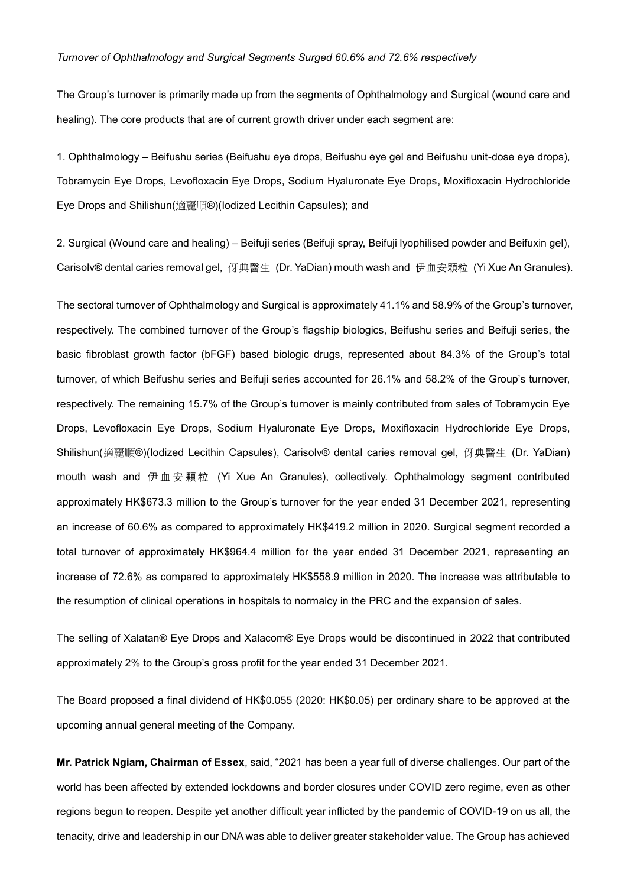### *Turnover of Ophthalmology and Surgical Segments Surged 60.6% and 72.6% respectively*

The Group's turnover is primarily made up from the segments of Ophthalmology and Surgical (wound care and healing). The core products that are of current growth driver under each segment are:

1. Ophthalmology – Beifushu series (Beifushu eye drops, Beifushu eye gel and Beifushu unit-dose eye drops), Tobramycin Eye Drops, Levofloxacin Eye Drops, Sodium Hyaluronate Eye Drops, Moxifloxacin Hydrochloride Eye Drops and Shilishun(適麗順®)(Iodized Lecithin Capsules); and

2. Surgical (Wound care and healing) – Beifuji series (Beifuji spray, Beifuji lyophilised powder and Beifuxin gel), Carisolv® dental caries removal gel, 伢典醫生 (Dr. YaDian) mouth wash and 伊血安顆粒 (Yi Xue An Granules).

The sectoral turnover of Ophthalmology and Surgical is approximately 41.1% and 58.9% of the Group's turnover, respectively. The combined turnover of the Group's flagship biologics. Beifushu series and Beifuil series, the basic fibroblast growth factor (bFGF) based biologic drugs, represented about 84.3% of the Group's total turnover, of which Beifushu series and Beifuji series accounted for 26.1% and 58.2% of the Group's turnover, respectively. The remaining 15.7% of the Group's turnover is mainly contributed from sales of Tobramycin Eye Drops, Levofloxacin Eye Drops, Sodium Hyaluronate Eye Drops, Moxifloxacin Hydrochloride Eye Drops, Shilishun(適麗順®)(Iodized Lecithin Capsules), Carisolv® dental caries removal gel, 伢典醫生 (Dr. YaDian) mouth wash and 伊血安顆粒 (Yi Xue An Granules), collectively. Ophthalmology segment contributed approximately HK\$673.3 million to the Group's turnover for the year ended 31 December 2021, representing an increase of 60.6% as compared to approximately HK\$419.2 million in 2020. Surgical segment recorded a total turnover of approximately HK\$964.4 million for the year ended 31 December 2021, representing an increase of 72.6% as compared to approximately HK\$558.9 million in 2020. The increase was attributable to the resumption of clinical operations in hospitals to normalcy in the PRC and the expansion of sales.

The selling of Xalatan® Eye Drops and Xalacom® Eye Drops would be discontinued in 2022 that contributed approximately 2% to the Group's gross profit for the year ended 31 December 2021.

The Board proposed a final dividend of HK\$0.055 (2020: HK\$0.05) per ordinary share to be approved at the upcoming annual general meeting of the Company.

**Mr. Patrick Ngiam, Chairman of Essex**, said, "2021 has been a year full of diverse challenges. Our part of the world has been affected by extended lockdowns and border closures under COVID zero regime, even as other regions begun to reopen. Despite yet another difficult year inflicted by the pandemic of COVID-19 on us all, the tenacity, drive and leadership in our DNA was able to deliver greater stakeholder value. The Group has achieved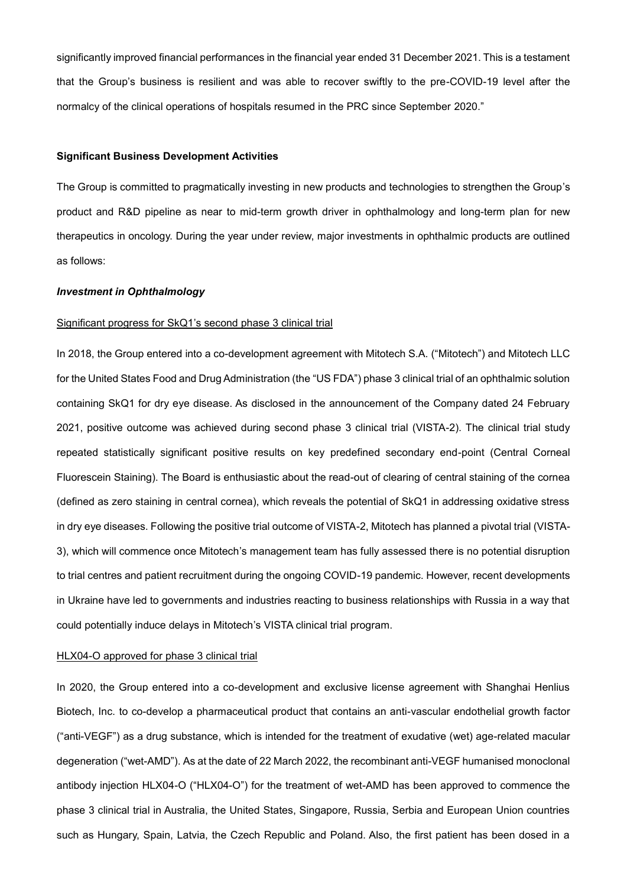significantly improved financial performances in the financial year ended 31 December 2021. This is a testament that the Group's business is resilient and was able to recover swiftly to the pre-COVID-19 level after the normalcy of the clinical operations of hospitals resumed in the PRC since September 2020."

### **Significant Business Development Activities**

The Group is committed to pragmatically investing in new products and technologies to strengthen the Group's product and R&D pipeline as near to mid-term growth driver in ophthalmology and long-term plan for new therapeutics in oncology. During the year under review, major investments in ophthalmic products are outlined as follows:

#### *Investment in Ophthalmology*

### Significant progress for SkQ1's second phase 3 clinical trial

In 2018, the Group entered into a co-development agreement with Mitotech S.A. ("Mitotech") and Mitotech LLC for the United States Food and Drug Administration (the "US FDA") phase 3 clinical trial of an ophthalmic solution containing SkQ1 for dry eye disease. As disclosed in the announcement of the Company dated 24 February 2021, positive outcome was achieved during second phase 3 clinical trial (VISTA-2). The clinical trial study repeated statistically significant positive results on key predefined secondary end-point (Central Corneal Fluorescein Staining). The Board is enthusiastic about the read-out of clearing of central staining of the cornea (defined as zero staining in central cornea), which reveals the potential of SkQ1 in addressing oxidative stress in dry eye diseases. Following the positive trial outcome of VISTA-2, Mitotech has planned a pivotal trial (VISTA-3), which will commence once Mitotech's management team has fully assessed there is no potential disruption to trial centres and patient recruitment during the ongoing COVID-19 pandemic. However, recent developments in Ukraine have led to governments and industries reacting to business relationships with Russia in a way that could potentially induce delays in Mitotech's VISTA clinical trial program.

#### HLX04-O approved for phase 3 clinical trial

In 2020, the Group entered into a co-development and exclusive license agreement with Shanghai Henlius Biotech, Inc. to co-develop a pharmaceutical product that contains an anti-vascular endothelial growth factor ("anti-VEGF") as a drug substance, which is intended for the treatment of exudative (wet) age-related macular degeneration ("wet-AMD"). As at the date of 22 March 2022, the recombinant anti-VEGF humanised monoclonal antibody injection HLX04-O ("HLX04-O") for the treatment of wet-AMD has been approved to commence the phase 3 clinical trial in Australia, the United States, Singapore, Russia, Serbia and European Union countries such as Hungary, Spain, Latvia, the Czech Republic and Poland. Also, the first patient has been dosed in a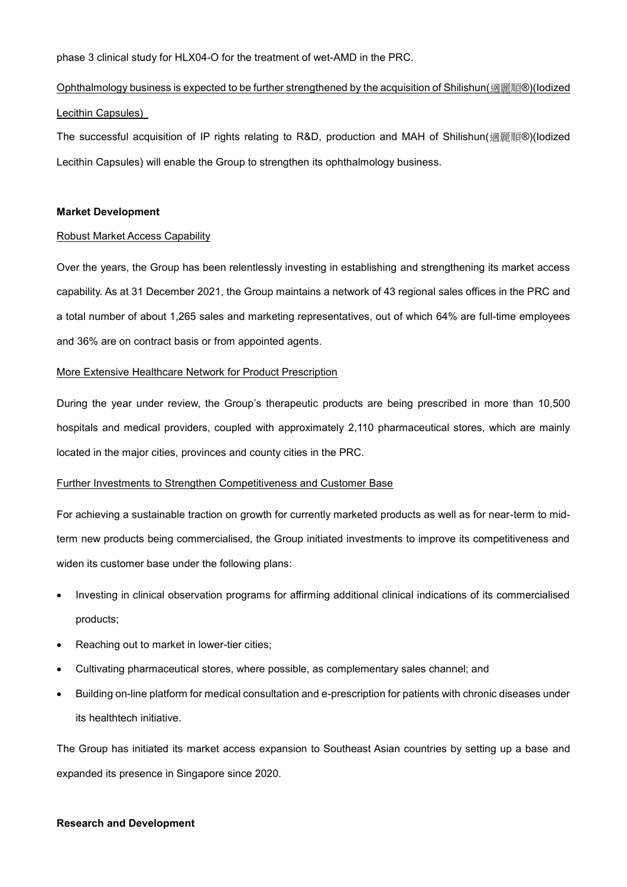phase 3 clinical study for HLX04-O for the treatment of wet-AMD in the PRC.

# Ophthalmology business is expected to be further strengthened by the acquisition of Shilishun(適麗順®)(Iodized Lecithin Capsules)

The successful acquisition of IP rights relating to R&D, production and MAH of Shilishun(適麗順®)(Iodized Lecithin Capsules) will enable the Group to strengthen its ophthalmology business.

### **Market Development**

### Robust Market Access Capability

Over the years, the Group has been relentlessly investing in establishing and strengthening its market access capability. As at 31 December 2021, the Group maintains a network of 43 regional sales offices in the PRC and a total number of about 1,265 sales and marketing representatives, out of which 64% are full-time employees and 36% are on contract basis or from appointed agents.

### More Extensive Healthcare Network for Product Prescription

During the year under review, the Group's therapeutic products are being prescribed in more than 10,500 hospitals and medical providers, coupled with approximately 2,110 pharmaceutical stores, which are mainly located in the major cities, provinces and county cities in the PRC.

### Further Investments to Strengthen Competitiveness and Customer Base

For achieving a sustainable traction on growth for currently marketed products as well as for near-term to midterm new products being commercialised, the Group initiated investments to improve its competitiveness and widen its customer base under the following plans:

- Investing in clinical observation programs for affirming additional clinical indications of its commercialised products;
- Reaching out to market in lower-tier cities;
- Cultivating pharmaceutical stores, where possible, as complementary sales channel; and
- Building on-line platform for medical consultation and e-prescription for patients with chronic diseases under its healthtech initiative.

The Group has initiated its market access expansion to Southeast Asian countries by setting up a base and expanded its presence in Singapore since 2020.

### **Research and Development**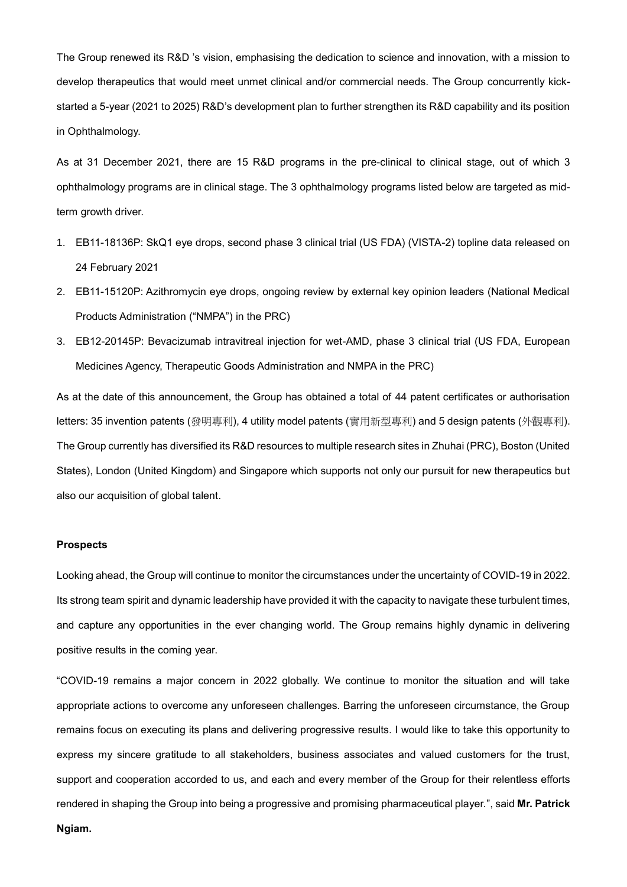The Group renewed its R&D 's vision, emphasising the dedication to science and innovation, with a mission to develop therapeutics that would meet unmet clinical and/or commercial needs. The Group concurrently kickstarted a 5-year (2021 to 2025) R&D's development plan to further strengthen its R&D capability and its position in Ophthalmology.

As at 31 December 2021, there are 15 R&D programs in the pre-clinical to clinical stage, out of which 3 ophthalmology programs are in clinical stage. The 3 ophthalmology programs listed below are targeted as midterm growth driver.

- 1. EB11-18136P: SkQ1 eye drops, second phase 3 clinical trial (US FDA) (VISTA-2) topline data released on 24 February 2021
- 2. EB11-15120P: Azithromycin eye drops, ongoing review by external key opinion leaders (National Medical Products Administration ("NMPA") in the PRC)
- 3. EB12-20145P: Bevacizumab intravitreal injection for wet-AMD, phase 3 clinical trial (US FDA, European Medicines Agency, Therapeutic Goods Administration and NMPA in the PRC)

As at the date of this announcement, the Group has obtained a total of 44 patent certificates or authorisation letters: 35 invention patents (發明專利), 4 utility model patents (實用新型專利) and 5 design patents (外觀專利). The Group currently has diversified its R&D resources to multiple research sites in Zhuhai (PRC), Boston (United States), London (United Kingdom) and Singapore which supports not only our pursuit for new therapeutics but also our acquisition of global talent.

#### **Prospects**

Looking ahead, the Group will continue to monitor the circumstances under the uncertainty of COVID-19 in 2022. Its strong team spirit and dynamic leadership have provided it with the capacity to navigate these turbulent times, and capture any opportunities in the ever changing world. The Group remains highly dynamic in delivering positive results in the coming year.

"COVID-19 remains a major concern in 2022 globally. We continue to monitor the situation and will take appropriate actions to overcome any unforeseen challenges. Barring the unforeseen circumstance, the Group remains focus on executing its plans and delivering progressive results. I would like to take this opportunity to express my sincere gratitude to all stakeholders, business associates and valued customers for the trust, support and cooperation accorded to us, and each and every member of the Group for their relentless efforts rendered in shaping the Group into being a progressive and promising pharmaceutical player.", said **Mr. Patrick Ngiam.**